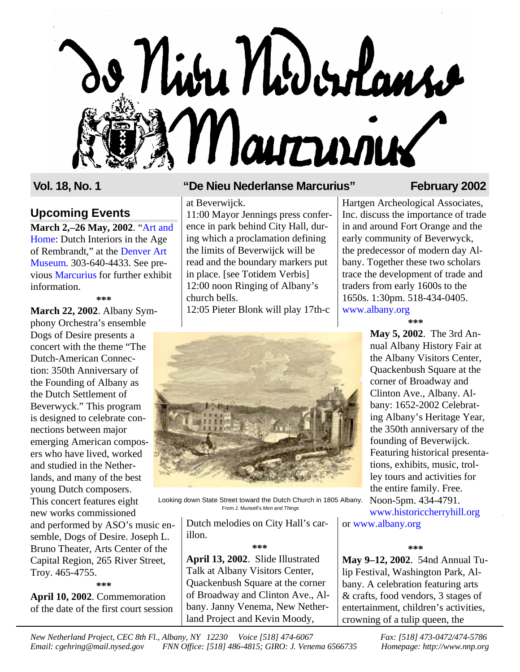# o Niva Nidordans Marrien

### **Upcoming Events**

**[March 2,–26 May,](http://www.newarkmuseum.org/artandhome/default.htm) 2002**. "Art and Home: Dutch Interiors in the Age of Rembrandt," at the Denver Art Museum. [303-640-4433.](http://www.denverartmuseum.org) See previous [Marcurius](http://www.nnp.org/marcurius/marc17-4.pdf) for further exhibit information.

**\*\*\***

**March 22, 2002**. Albany Symphony Orchestra's ensemble Dogs of Desire presents a concert with the theme "The Dutch-American Connection: 350th Anniversary of the Founding of Albany as the Dutch Settlement of Beverwyck." This program is designed to celebrate connections between major emerging American composers who have lived, worked and studied in the Netherlands, and many of the best young Dutch composers. This concert features eight new works commissioned and performed by ASO's music ensemble, Dogs of Desire. Joseph L. Bruno Theater, Arts Center of the Capital Region, 265 River Street,

Troy. 465-4755. **\*\*\***

**April 10, 2002**. Commemoration of the date of the first court session

### **Vol. 18, No. 1 "De Nieu Nederlanse Marcurius" February 2002**

at Beverwijck. 11:00 Mayor Jennings press conference in park behind City Hall, during which a proclamation defining the limits of Beverwijck will be read and the boundary markers put in place. [see Totidem Verbis] 12:00 noon Ringing of Albany's church bells.

12:05 Pieter Blonk will play 17th-c



Looking down State Street toward the Dutch Church in 1805 Albany. From J. Munsell's Men and Things

> Dutch melodies on City Hall's carillon.

> > **\*\*\***

**April 13, 2002**. Slide Illustrated Talk at Albany Visitors Center, Quackenbush Square at the corner of Broadway and Clinton Ave., Albany. Janny Venema, New Netherland Project and Kevin Moody,

Hartgen Archeological Associates, Inc. discuss the importance of trade in and around Fort Orange and the early community of Beverwyck, the predecessor of modern day Albany. Together these two scholars trace the development of trade and traders from early 1600s to the 1650s. 1:30pm. 518-434-0405. [www.albany.org](http://www.albany.org/whatsnew/VCEvents.shtml)

**\*\*\***

**May 5, 2002**. The 3rd Annual Albany History Fair at the Albany Visitors Center, Quackenbush Square at the corner of Broadway and Clinton Ave., Albany. Albany: 1652-2002 Celebrating Albany's Heritage Year, the 350th anniversary of the founding of Beverwijck. Featuring historical presentations, exhibits, music, trolley tours and activities for the entire family. Free. Noon-5pm. 434-4791. [www.historiccherryhill.org](http://www.historiccherryhill.org)

or [www.albany.org](http://www.albany.org/whatsnew/VCEvents.shtml)

### **\*\*\***

**May 9–12, 2002**. 54nd Annual Tulip Festival, Washington Park, Albany. A celebration featuring arts & crafts, food vendors, 3 stages of entertainment, children's activities, crowning of a tulip queen, the

*New Netherland Project, CEC 8th Fl., Albany, NY 12230 Voice [518] 474-6067 Fax: [518] 473-0472/474-5786 Email: cgehring@mail.nysed.gov FNN Office: [518] 486-4815; GIRO: J. Venema 6566735 Homepage: http://www.nnp.org*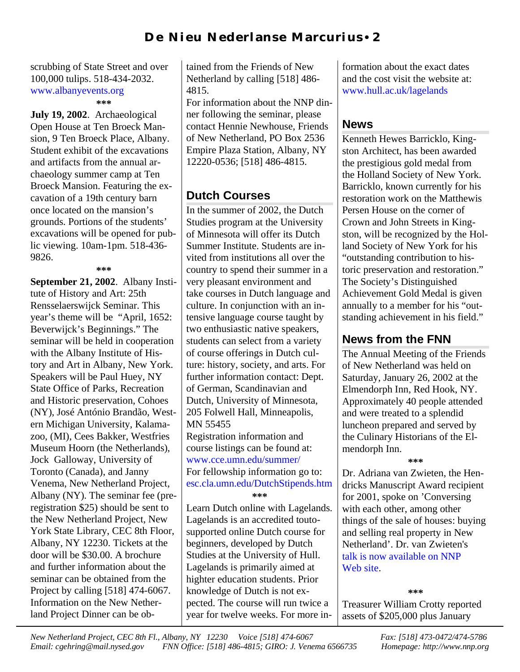scrubbing of State Street and over 100,000 tulips. 518-434-2032. [www.albanyevents.org](http://www.albanyevents.org) 

### **\*\*\***

**July 19, 2002**. Archaeological Open House at Ten Broeck Mansion, 9 Ten Broeck Place, Albany. Student exhibit of the excavations and artifacts from the annual archaeology summer camp at Ten Broeck Mansion. Featuring the excavation of a 19th century barn once located on the mansion's grounds. Portions of the students' excavations will be opened for public viewing. 10am-1pm. 518-436- 9826.

**\*\*\***

**September 21, 2002**. Albany Institute of History and Art: 25th Rensselaerswijck Seminar. This year's theme will be "April, 1652: Beverwijck's Beginnings." The seminar will be held in cooperation with the Albany Institute of History and Art in Albany, New York. Speakers will be Paul Huey, NY State Office of Parks, Recreation and Historic preservation, Cohoes (NY), José António Brandão, Western Michigan University, Kalamazoo, (MI), Cees Bakker, Westfries Museum Hoorn (the Netherlands), Jock Galloway, University of Toronto (Canada), and Janny Venema, New Netherland Project, Albany (NY). The seminar fee (preregistration \$25) should be sent to the New Netherland Project, New York State Library, CEC 8th Floor, Albany, NY 12230. Tickets at the door will be \$30.00. A brochure and further information about the seminar can be obtained from the Project by calling [518] 474-6067. Information on the New Netherland Project Dinner can be ob-

tained from the Friends of New Netherland by calling [518] 486- 4815.

For information about the NNP dinner following the seminar, please contact Hennie Newhouse, Friends of New Netherland, PO Box 2536 Empire Plaza Station, Albany, NY 12220-0536; [518] 486-4815.

## **Dutch Courses**

In the summer of 2002, the Dutch Studies program at the University of Minnesota will offer its Dutch Summer Institute. Students are invited from institutions all over the country to spend their summer in a very pleasant environment and take courses in Dutch language and culture. In conjunction with an intensive language course taught by two enthusiastic native speakers, students can select from a variety of course offerings in Dutch culture: history, society, and arts. For further information contact: Dept. of German, Scandinavian and Dutch, University of Minnesota, 205 Folwell Hall, Minneapolis, MN 55455 Registration information and course listings can be found at: [www.cce.umn.edu/summer/](http://www.cce.umn.edu/summer) For fellowship information go to: [esc.cla.umn.edu/DutchStipends.htm](http://esc.cla.umn.edu/DutchStipends.htm)

**\*\*\***

Learn Dutch online with Lagelands. Lagelands is an accredited toutosupported online Dutch course for beginners, developed by Dutch Studies at the University of Hull. Lagelands is primarily aimed at highter education students. Prior knowledge of Dutch is not expected. The course will run twice a year for twelve weeks. For more information about the exact dates and the cost visit the website at: [www.hull.ac.uk/lagelands](http://www.hull.ac.uk/lagelands)

### **News**

Kenneth Hewes Barricklo, Kingston Architect, has been awarded the prestigious gold medal from the Holland Society of New York. Barricklo, known currently for his restoration work on the Matthewis Persen House on the corner of Crown and John Streets in Kingston, will be recognized by the Holland Society of New York for his "outstanding contribution to historic preservation and restoration." The Society's Distinguished Achievement Gold Medal is given annually to a member for his "outstanding achievement in his field."

### **News from the FNN**

The Annual Meeting of the Friends of New Netherland was held on Saturday, January 26, 2002 at the Elmendorph Inn, Red Hook, NY. Approximately 40 people attended and were treated to a splendid luncheon prepared and served by the Culinary Historians of the Elmendorph Inn.

**\*\*\***

Dr. Adriana van Zwieten, the Hendricks Manuscript Award recipient for 2001, spoke on 'Conversing with each other, among other things of the sale of houses: buying and selling real property in New Netherland'. Dr. van Zwieten's [talk is now available on NNP](http://www.nnp.org/presentations/index.html) Web site.

**\*\*\*** Treasurer William Crotty reported assets of \$205,000 plus January

*New Netherland Project, CEC 8th Fl., Albany, NY 12230 Voice [518] 474-6067 Fax: [518] 473-0472/474-5786 Email: cgehring@mail.nysed.gov FNN Office: [518] 486-4815; GIRO: J. Venema 6566735 Homepage: http://www.nnp.org*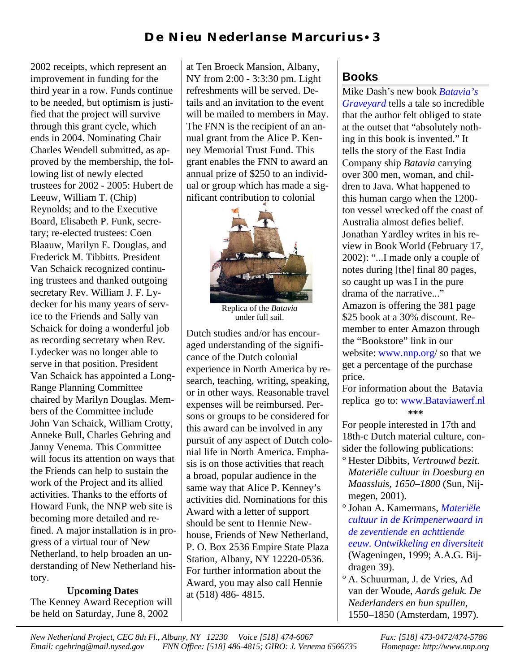2002 receipts, which represent an improvement in funding for the third year in a row. Funds continue to be needed, but optimism is justified that the project will survive through this grant cycle, which ends in 2004. Nominating Chair Charles Wendell submitted, as approved by the membership, the following list of newly elected trustees for 2002 - 2005: Hubert de Leeuw, William T. (Chip) Reynolds; and to the Executive Board, Elisabeth P. Funk, secretary; re-elected trustees: Coen Blaauw, Marilyn E. Douglas, and Frederick M. Tibbitts. President Van Schaick recognized continuing trustees and thanked outgoing secretary Rev. William J. F. Lydecker for his many years of service to the Friends and Sally van Schaick for doing a wonderful job as recording secretary when Rev. Lydecker was no longer able to serve in that position. President Van Schaick has appointed a Long-Range Planning Committee chaired by Marilyn Douglas. Members of the Committee include John Van Schaick, William Crotty, Anneke Bull, Charles Gehring and Janny Venema. This Committee will focus its attention on ways that the Friends can help to sustain the work of the Project and its allied activities. Thanks to the efforts of Howard Funk, the NNP web site is becoming more detailed and refined. A major installation is in progress of a virtual tour of New Netherland, to help broaden an understanding of New Netherland history.

# **Upcoming Dates**

The Kenney Award Reception will be held on Saturday, June 8, 2002

at Ten Broeck Mansion, Albany, NY from 2:00 - 3:3:30 pm. Light refreshments will be served. Details and an invitation to the event will be mailed to members in May. The FNN is the recipient of an annual grant from the Alice P. Kenney Memorial Trust Fund. This grant enables the FNN to award an annual prize of \$250 to an individual or group which has made a significant contribution to colonial



Replica of the *Batavia* under full sail.

Dutch studies and/or has encouraged understanding of the significance of the Dutch colonial experience in North America by research, teaching, writing, speaking, or in other ways. Reasonable travel expenses will be reimbursed. Persons or groups to be considered for this award can be involved in any pursuit of any aspect of Dutch colonial life in North America. Emphasis is on those activities that reach a broad, popular audience in the same way that Alice P. Kenney's activities did. Nominations for this Award with a letter of support should be sent to Hennie Newhouse, Friends of New Netherland, P. O. Box 2536 Empire State Plaza Station, Albany, NY 12220-0536. For further information about the Award, you may also call Hennie at (518) 486- 4815.

# **Books**

[Mike Dash's](http://www.amazon.com/exec/obidos/ISBN=0609607669/friendsofnewnethA) new book *Batavia's Graveyard* tells a tale so incredible that the author felt obliged to state at the outset that "absolutely nothing in this book is invented." It tells the story of the East India Company ship *Batavia* carrying over 300 men, woman, and children to Java. What happened to this human cargo when the 1200 ton vessel wrecked off the coast of Australia almost defies belief. Jonathan Yardley writes in his review in Book World (February 17, 2002): "...I made only a couple of notes during [the] final 80 pages, so caught up was I in the pure drama of the narrative..." Amazon is offering the 381 page \$25 book at a 30% discount. Remember to enter Amazon through the "Bookstore" link in our website: [www.nnp.org/](http://www.nnp.org/fnn/fnnstore/books.html) so that we get a percentage of the purchase price.

For information about the Batavia replica go to: [www.Bataviawerf.nl](http://www.bataviawerf.nl) **\*\*\***

For people interested in 17th and 18th-c Dutch material culture, consider the following publications:

- ° Hester Dibbits, *Vertrouwd bezit. Materiële cultuur in Doesburg en Maassluis, 1650–1800* (Sun, Nijmegen, 2001).
- ° Johan A. Kamermans, *Materiële cultuur in de Krimpenerwaard in de zeventiende en achttiende eeuw. Ontwikkeling en diversiteit* [\(Wageningen, 1999; A.A.G. Bij](http://www.amazon.com/exec/obidos/ISBN=9065500626/newnethA)dragen 39).
- ° A. Schuurman, J. de Vries, Ad van der Woude, *Aards geluk. De Nederlanders en hun spullen*, 1550–1850 (Amsterdam, 1997).

*New Netherland Project, CEC 8th Fl., Albany, NY 12230 Voice [518] 474-6067 Fax: [518] 473-0472/474-5786 Email: cgehring@mail.nysed.gov FNN Office: [518] 486-4815; GIRO: J. Venema 6566735 Homepage: http://www.nnp.org*